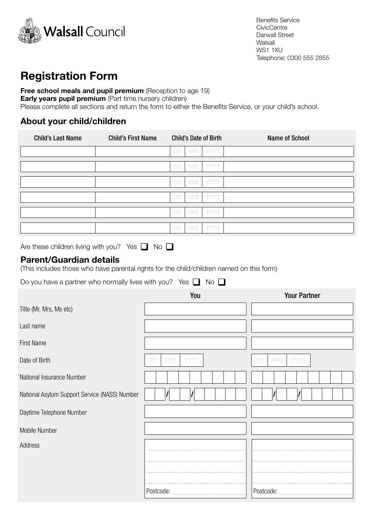

# Registration Form

Free school meals and pupil premium (Reception to age 19) **Early years pupil premium** (Part time nursery children) Please complete all sections and return the form to either the Benefits Service, or your child's school.

### About your child/children

| <b>Child's Last Name</b>                                                                                                                                                               | <b>Child's First Name</b> | <b>Child's Date of Birth</b> |             | <b>Name of School</b>                 |  |
|----------------------------------------------------------------------------------------------------------------------------------------------------------------------------------------|---------------------------|------------------------------|-------------|---------------------------------------|--|
|                                                                                                                                                                                        |                           | <b>DD</b><br><b>MM</b>       | <b>YYYY</b> |                                       |  |
|                                                                                                                                                                                        |                           | <b>DD</b><br><b>MM</b>       | YYYY        |                                       |  |
|                                                                                                                                                                                        |                           | <b>MM</b><br><b>DD</b>       | YYYY        |                                       |  |
|                                                                                                                                                                                        |                           | <b>MM</b><br><b>DD</b>       | <b>YYYY</b> |                                       |  |
|                                                                                                                                                                                        |                           | <b>MM</b><br><b>DD</b>       | <b>YYYY</b> |                                       |  |
|                                                                                                                                                                                        |                           | DD<br><b>MM</b>              | YYYY        |                                       |  |
| Are these children living with you? Yes $\Box$ No $\Box$<br><b>Parent/Guardian details</b><br>(This includes those who have parental rights for the child/children named on this form) |                           |                              |             |                                       |  |
| Do you have a partner who normally lives with you? Yes $\Box$ No $\Box$                                                                                                                |                           | You                          |             | <b>Your Partner</b>                   |  |
|                                                                                                                                                                                        |                           |                              |             |                                       |  |
| Title (Mr, Mrs, Ms etc)                                                                                                                                                                |                           |                              |             |                                       |  |
| Last name                                                                                                                                                                              |                           |                              |             |                                       |  |
| <b>First Name</b>                                                                                                                                                                      |                           |                              |             |                                       |  |
| Date of Birth                                                                                                                                                                          |                           | <b>MM</b><br><b>YYYY</b>     |             | <b>DD</b><br><b>MM</b><br><b>YYYY</b> |  |
| National Insurance Number                                                                                                                                                              |                           |                              |             |                                       |  |
| National Asylum Support Service (NASS) Number                                                                                                                                          |                           |                              |             |                                       |  |
| Daytime Telephone Number                                                                                                                                                               |                           |                              |             |                                       |  |
| Mobile Number                                                                                                                                                                          |                           |                              |             |                                       |  |
| <b>Address</b>                                                                                                                                                                         |                           |                              |             |                                       |  |
|                                                                                                                                                                                        |                           |                              |             |                                       |  |
|                                                                                                                                                                                        |                           |                              |             |                                       |  |
|                                                                                                                                                                                        | Postcode:                 |                              |             | Postcode:                             |  |